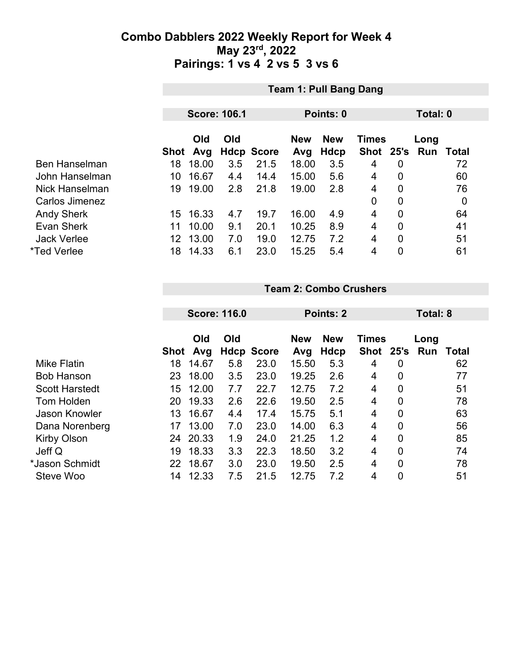|                      | <b>Team 1: Pull Bang Dang</b> |       |     |                   |                            |             |             |                |     |       |
|----------------------|-------------------------------|-------|-----|-------------------|----------------------------|-------------|-------------|----------------|-----|-------|
|                      |                               |       |     |                   |                            |             |             |                |     |       |
|                      | <b>Score: 106.1</b>           |       |     | Points: 0         |                            | Total: 0    |             |                |     |       |
|                      | Old<br>Old                    |       |     | <b>New</b>        | <b>New</b><br><b>Times</b> |             |             | Long           |     |       |
|                      | Shot                          | Avg   |     | <b>Hdcp Score</b> | Avg                        | <b>Hdcp</b> | <b>Shot</b> | 25's           | Run | Total |
| <b>Ben Hanselman</b> | 18                            | 18.00 | 3.5 | 21.5              | 18.00                      | 3.5         | 4           | 0              |     | 72    |
| John Hanselman       | 10                            | 16.67 | 4.4 | 14.4              | 15.00                      | 5.6         | 4           | $\mathbf 0$    |     | 60    |
| Nick Hanselman       | 19                            | 19.00 | 2.8 | 21.8              | 19.00                      | 2.8         | 4           | $\overline{0}$ |     | 76    |
| Carlos Jimenez       |                               |       |     |                   |                            |             | 0           | $\overline{0}$ |     | 0     |
| <b>Andy Sherk</b>    | 15                            | 16.33 | 4.7 | 19.7              | 16.00                      | 4.9         | 4           | $\overline{0}$ |     | 64    |
| <b>Evan Sherk</b>    | 11                            | 10.00 | 9.1 | 20.1              | 10.25                      | 8.9         | 4           | $\overline{0}$ |     | 41    |
| <b>Jack Verlee</b>   | 12                            | 13.00 | 7.0 | 19.0              | 12.75                      | 7.2         | 4           | $\overline{0}$ |     | 51    |
| *Ted Verlee          | 18                            | 14.33 | 6.1 | 23.0              | 15.25                      | 5.4         | 4           | $\overline{0}$ |     | 61    |

#### **Team 2: Combo Crushers**

|                       |                  | <b>Score: 116.0</b> |     |                   | Points: 2         |                           |                      |                | <b>Total: 8</b> |       |  |
|-----------------------|------------------|---------------------|-----|-------------------|-------------------|---------------------------|----------------------|----------------|-----------------|-------|--|
|                       | Shot             | Old<br>Avg          | Old | <b>Hdcp Score</b> | <b>New</b><br>Avg | <b>New</b><br><b>Hdcp</b> | <b>Times</b><br>Shot | 25's           | Long<br>Run     | Total |  |
| <b>Mike Flatin</b>    | 18               | 14.67               | 5.8 | 23.0              | 15.50             | 5.3                       | 4                    | 0              |                 | 62    |  |
| <b>Bob Hanson</b>     | 23               | 18.00               | 3.5 | 23.0              | 19.25             | 2.6                       | 4                    | 0              |                 | 77    |  |
| <b>Scott Harstedt</b> | 15 <sup>15</sup> | 12.00               | 7.7 | 22.7              | 12.75             | 7.2                       | 4                    | 0              |                 | 51    |  |
| Tom Holden            | 20               | 19.33               | 2.6 | 22.6              | 19.50             | 2.5                       | 4                    | 0              |                 | 78    |  |
| <b>Jason Knowler</b>  | 13               | 16.67               | 4.4 | 17.4              | 15.75             | 5.1                       | 4                    | 0              |                 | 63    |  |
| Dana Norenberg        | 17               | 13.00               | 7.0 | 23.0              | 14.00             | 6.3                       | 4                    | $\mathbf{0}$   |                 | 56    |  |
| <b>Kirby Olson</b>    | 24               | 20.33               | 1.9 | 24.0              | 21.25             | 1.2                       | 4                    | 0              |                 | 85    |  |
| Jeff Q                | 19               | 18.33               | 3.3 | 22.3              | 18.50             | 3.2                       | 4                    | $\overline{0}$ |                 | 74    |  |
| *Jason Schmidt        | 22               | 18.67               | 3.0 | 23.0              | 19.50             | 2.5                       | 4                    | $\overline{0}$ |                 | 78    |  |
| Steve Woo             | 14               | 12.33               | 7.5 | 21.5              | 12.75             | 7.2                       | 4                    | 0              |                 | 51    |  |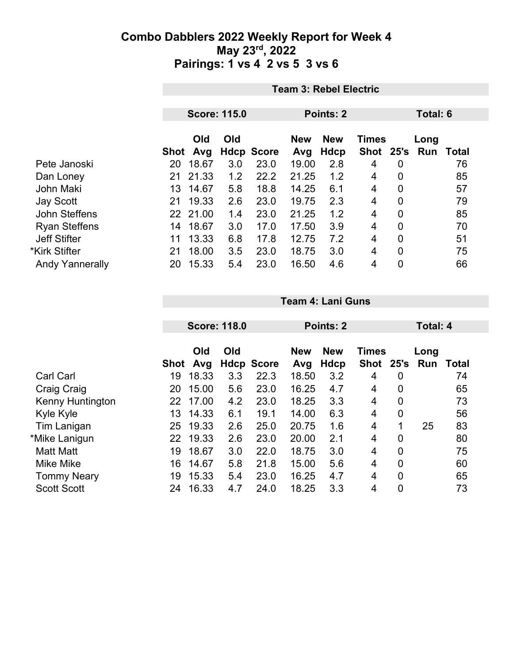|                        | <b>Team 3: Rebel Electric</b> |                     |     |                   |            |                  |              |                |      |       |
|------------------------|-------------------------------|---------------------|-----|-------------------|------------|------------------|--------------|----------------|------|-------|
|                        |                               |                     |     |                   |            | <b>Points: 2</b> | Total: 6     |                |      |       |
|                        |                               | <b>Score: 115.0</b> |     |                   |            |                  |              |                |      |       |
|                        |                               | Old                 | Old |                   | <b>New</b> | <b>New</b>       | <b>Times</b> |                | Long |       |
|                        | Shot                          | Avg                 |     | <b>Hdcp Score</b> | Avg        | <b>Hdcp</b>      | <b>Shot</b>  | 25's           | Run  | Total |
| Pete Janoski           | 20                            | 18.67               | 3.0 | 23.0              | 19.00      | 2.8              | 4            | 0              |      | 76    |
| Dan Loney              | 21                            | 21.33               | 1.2 | 22.2              | 21.25      | 1.2              | 4            | 0              |      | 85    |
| <b>John Maki</b>       | 13                            | 14.67               | 5.8 | 18.8              | 14.25      | 6.1              | 4            | 0              |      | 57    |
| <b>Jay Scott</b>       | 21                            | 19.33               | 2.6 | 23.0              | 19.75      | 2.3              | 4            | $\mathbf 0$    |      | 79    |
| John Steffens          |                               | 22 21.00            | 1.4 | 23.0              | 21.25      | 1.2              | 4            | 0              |      | 85    |
| <b>Ryan Steffens</b>   | 14                            | 18.67               | 3.0 | 17.0              | 17.50      | 3.9              | 4            | $\overline{0}$ |      | 70    |
| <b>Jeff Stifter</b>    | 11                            | 13.33               | 6.8 | 17.8              | 12.75      | 7.2              | 4            | 0              |      | 51    |
| *Kirk Stifter          | 21                            | 18.00               | 3.5 | 23.0              | 18.75      | 3.0              | 4            | $\overline{0}$ |      | 75    |
| <b>Andy Yannerally</b> | 20                            | 15.33               | 5.4 | 23.0              | 16.50      | 4.6              | 4            | 0              |      | 66    |

|                         |      | <b>Score: 118.0</b> |     |                   | Points: 2         |                    |                      |                | <b>Total: 4</b>  |       |
|-------------------------|------|---------------------|-----|-------------------|-------------------|--------------------|----------------------|----------------|------------------|-------|
|                         | Shot | Old<br>Avg          | Old | <b>Hdcp Score</b> | <b>New</b><br>Avg | <b>New</b><br>Hdcp | <b>Times</b><br>Shot |                | Long<br>25's Run | Total |
| <b>Carl Carl</b>        | 19   | 18.33               | 3.3 | 22.3              | 18.50             | 3.2                | 4                    | 0              |                  | 74    |
| Craig Craig             | 20   | 15.00               | 5.6 | 23.0              | 16.25             | 4.7                | 4                    | 0              |                  | 65    |
| <b>Kenny Huntington</b> | 22   | 17.00               | 4.2 | 23.0              | 18.25             | 3.3                | 4                    | $\overline{0}$ |                  | 73    |
| Kyle Kyle               | 13   | 14.33               | 6.1 | 19.1              | 14.00             | 6.3                | 4                    | 0              |                  | 56    |
| Tim Lanigan             | 25   | 19.33               | 2.6 | 25.0              | 20.75             | 1.6                | 4                    | 1              | 25               | 83    |
| *Mike Lanigun           | 22   | 19.33               | 2.6 | 23.0              | 20.00             | 2.1                | 4                    | $\mathbf 0$    |                  | 80    |
| <b>Matt Matt</b>        | 19   | 18.67               | 3.0 | 22.0              | 18.75             | 3.0                | 4                    | $\mathbf 0$    |                  | 75    |
| <b>Mike Mike</b>        | 16   | 14.67               | 5.8 | 21.8              | 15.00             | 5.6                | 4                    | $\overline{0}$ |                  | 60    |
| <b>Tommy Neary</b>      | 19   | 15.33               | 5.4 | 23.0              | 16.25             | 4.7                | 4                    | $\mathbf 0$    |                  | 65    |
| <b>Scott Scott</b>      | 24   | 16.33               | 4.7 | 24.0              | 18.25             | 3.3                | 4                    | $\mathbf 0$    |                  | 73    |

**Team 4: Lani Guns**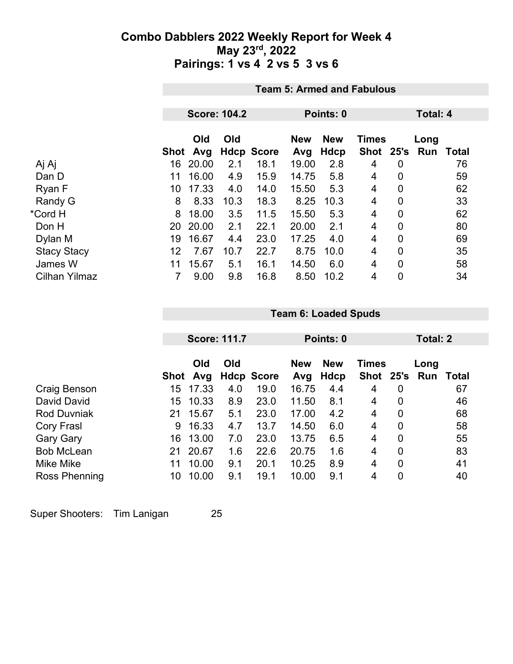|                      |      | <b>Team 5: Armed and Fabulous</b> |                     |                   |                   |                           |                           |                |             |              |  |
|----------------------|------|-----------------------------------|---------------------|-------------------|-------------------|---------------------------|---------------------------|----------------|-------------|--------------|--|
|                      |      |                                   |                     |                   |                   |                           |                           |                |             |              |  |
|                      |      |                                   | <b>Score: 104.2</b> |                   |                   | Points: 0                 |                           |                |             | Total: 4     |  |
|                      | Shot | Old<br>Avg                        | Old                 | <b>Hdcp Score</b> | <b>New</b><br>Avg | <b>New</b><br><b>Hdcp</b> | <b>Times</b><br>Shot 25's |                | Long<br>Run | <b>Total</b> |  |
| Aj Aj                | 16   | 20.00                             | 2.1                 | 18.1              | 19.00             | 2.8                       | 4                         | 0              |             | 76           |  |
| Dan D                | 11   | 16.00                             | 4.9                 | 15.9              | 14.75             | 5.8                       | 4                         | $\overline{0}$ |             | 59           |  |
| Ryan F               | 10   | 17.33                             | 4.0                 | 14.0              | 15.50             | 5.3                       | 4                         | 0              |             | 62           |  |
| Randy G              | 8    | 8.33                              | 10.3                | 18.3              | 8.25              | 10.3                      | 4                         | 0              |             | 33           |  |
| *Cord H              | 8    | 18.00                             | 3.5                 | 11.5              | 15.50             | 5.3                       | $\overline{4}$            | $\overline{0}$ |             | 62           |  |
| Don H                | 20   | 20.00                             | 2.1                 | 22.1              | 20.00             | 2.1                       | 4                         | 0              |             | 80           |  |
| Dylan M              | 19   | 16.67                             | 4.4                 | 23.0              | 17.25             | 4.0                       | 4                         | 0              |             | 69           |  |
| <b>Stacy Stacy</b>   | 12   | 7.67                              | 10.7                | 22.7              | 8.75              | 10.0                      | 4                         | $\overline{0}$ |             | 35           |  |
| James W              | 11   | 15.67                             | 5.1                 | 16.1              | 14.50             | 6.0                       | 4                         | 0              |             | 58           |  |
| <b>Cilhan Yilmaz</b> |      | 9.00                              | 9.8                 | 16.8              | 8.50              | 10.2                      | 4                         | 0              |             | 34           |  |

|                    |      |            | <b>Score: 111.7</b> |                   | Points: 0         |                    |                           |             | Total: 2    |       |  |
|--------------------|------|------------|---------------------|-------------------|-------------------|--------------------|---------------------------|-------------|-------------|-------|--|
|                    | Shot | Old<br>Avg | Old                 | <b>Hdcp Score</b> | <b>New</b><br>Avg | <b>New</b><br>Hdcp | <b>Times</b><br>Shot 25's |             | Long<br>Run | Total |  |
| Craig Benson       | 15   | 17.33      | 4.0                 | 19.0              | 16.75             | 4.4                | 4                         | 0           |             | 67    |  |
| David David        | 15   | 10.33      | 8.9                 | 23.0              | 11.50             | 8.1                | 4                         | 0           |             | 46    |  |
| <b>Rod Duvniak</b> | 21   | 15.67      | 5.1                 | 23.0              | 17.00             | 4.2                | 4                         | $\mathbf 0$ |             | 68    |  |
| Cory Frasl         | 9    | 16.33      | 4.7                 | 13.7              | 14.50             | 6.0                | 4                         | 0           |             | 58    |  |
| <b>Gary Gary</b>   | 16   | 13.00      | 7.0                 | 23.0              | 13.75             | 6.5                | 4                         | 0           |             | 55    |  |
| <b>Bob McLean</b>  | 21   | 20.67      | 1.6                 | 22.6              | 20.75             | 1.6                | 4                         | 0           |             | 83    |  |
| Mike Mike          | 11   | 10.00      | 9.1                 | 20.1              | 10.25             | 8.9                | 4                         | 0           |             | 41    |  |
| Ross Phenning      | 10   | 10.00      | 9.1                 | 19.1              | 10.00             | 9.1                | 4                         | 0           |             | 40    |  |

**Team 6: Loaded Spuds**

Super Shooters: Tim Lanigan 25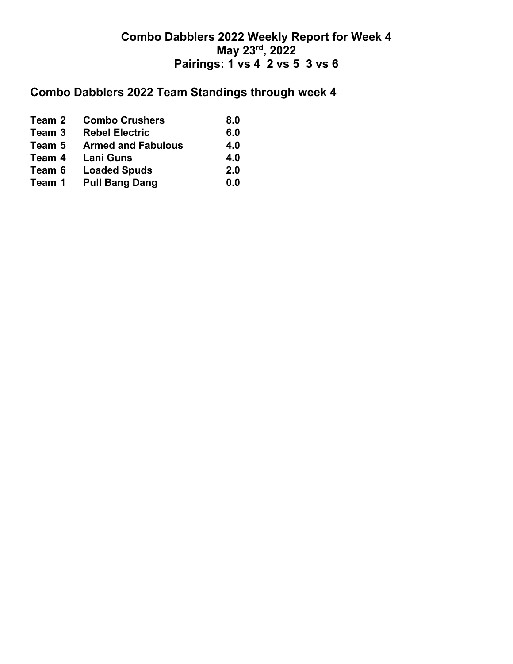# **Combo Dabblers 2022 Team Standings through week 4**

| Team 2 | <b>Combo Crushers</b>     | 8.0 |
|--------|---------------------------|-----|
| Team 3 | <b>Rebel Electric</b>     | 6.0 |
| Team 5 | <b>Armed and Fabulous</b> | 4.0 |
| Team 4 | <b>Lani Guns</b>          | 4.0 |
| Team 6 | <b>Loaded Spuds</b>       | 2.0 |
| Team 1 | <b>Pull Bang Dang</b>     | 0.0 |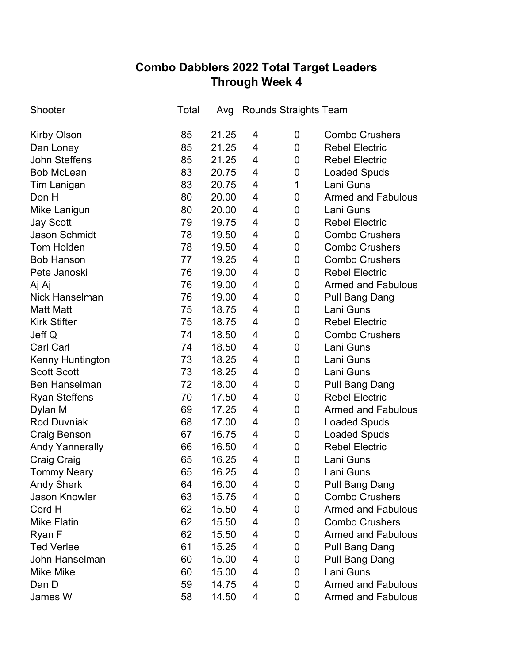## **Combo Dabblers 2022 Total Target Leaders Through Week 4**

| Shooter                | Total |       |   | Avg Rounds Straights Team |             |                           |
|------------------------|-------|-------|---|---------------------------|-------------|---------------------------|
| <b>Kirby Olson</b>     | 85    | 21.25 | 4 |                           | 0           | <b>Combo Crushers</b>     |
| Dan Loney              | 85    | 21.25 | 4 |                           | 0           | <b>Rebel Electric</b>     |
| <b>John Steffens</b>   | 85    | 21.25 | 4 |                           | 0           | <b>Rebel Electric</b>     |
| <b>Bob McLean</b>      | 83    | 20.75 | 4 |                           | 0           | <b>Loaded Spuds</b>       |
| <b>Tim Lanigan</b>     | 83    | 20.75 | 4 |                           | 1           | Lani Guns                 |
| Don H                  | 80    | 20.00 | 4 |                           | 0           | <b>Armed and Fabulous</b> |
| Mike Lanigun           | 80    | 20.00 | 4 |                           | 0           | Lani Guns                 |
| <b>Jay Scott</b>       | 79    | 19.75 | 4 |                           | 0           | <b>Rebel Electric</b>     |
| <b>Jason Schmidt</b>   | 78    | 19.50 | 4 |                           | 0           | <b>Combo Crushers</b>     |
| <b>Tom Holden</b>      | 78    | 19.50 | 4 |                           | 0           | <b>Combo Crushers</b>     |
| <b>Bob Hanson</b>      | 77    | 19.25 | 4 |                           | 0           | <b>Combo Crushers</b>     |
| Pete Janoski           | 76    | 19.00 | 4 |                           | 0           | <b>Rebel Electric</b>     |
| Aj Aj                  | 76    | 19.00 | 4 |                           | 0           | <b>Armed and Fabulous</b> |
| <b>Nick Hanselman</b>  | 76    | 19.00 | 4 |                           | 0           | <b>Pull Bang Dang</b>     |
| <b>Matt Matt</b>       | 75    | 18.75 | 4 |                           | 0           | Lani Guns                 |
| <b>Kirk Stifter</b>    | 75    | 18.75 | 4 |                           | 0           | <b>Rebel Electric</b>     |
| Jeff Q                 | 74    | 18.50 | 4 |                           | 0           | <b>Combo Crushers</b>     |
| <b>Carl Carl</b>       | 74    | 18.50 | 4 |                           | 0           | Lani Guns                 |
| Kenny Huntington       | 73    | 18.25 | 4 |                           | 0           | Lani Guns                 |
| <b>Scott Scott</b>     | 73    | 18.25 | 4 |                           | 0           | Lani Guns                 |
| <b>Ben Hanselman</b>   | 72    | 18.00 | 4 |                           | 0           | <b>Pull Bang Dang</b>     |
| <b>Ryan Steffens</b>   | 70    | 17.50 | 4 |                           | 0           | <b>Rebel Electric</b>     |
| Dylan M                | 69    | 17.25 | 4 |                           | 0           | <b>Armed and Fabulous</b> |
| <b>Rod Duvniak</b>     | 68    | 17.00 | 4 |                           | 0           | <b>Loaded Spuds</b>       |
| Craig Benson           | 67    | 16.75 | 4 |                           | 0           | <b>Loaded Spuds</b>       |
| <b>Andy Yannerally</b> | 66    | 16.50 | 4 |                           | 0           | <b>Rebel Electric</b>     |
| <b>Craig Craig</b>     | 65    | 16.25 | 4 |                           | $\mathbf 0$ | Lani Guns                 |
| <b>Tommy Neary</b>     | 65    | 16.25 | 4 |                           | 0           | Lani Guns                 |
| <b>Andy Sherk</b>      | 64    | 16.00 | 4 |                           | 0           | <b>Pull Bang Dang</b>     |
| <b>Jason Knowler</b>   | 63    | 15.75 | 4 |                           | 0           | <b>Combo Crushers</b>     |
| Cord H                 | 62    | 15.50 | 4 |                           | 0           | <b>Armed and Fabulous</b> |
| <b>Mike Flatin</b>     | 62    | 15.50 | 4 |                           | 0           | <b>Combo Crushers</b>     |
| Ryan F                 | 62    | 15.50 | 4 |                           | 0           | <b>Armed and Fabulous</b> |
| <b>Ted Verlee</b>      | 61    | 15.25 | 4 |                           | 0           | Pull Bang Dang            |
| John Hanselman         | 60    | 15.00 | 4 |                           | 0           | Pull Bang Dang            |
| <b>Mike Mike</b>       | 60    | 15.00 | 4 |                           | 0           | Lani Guns                 |
| Dan D                  | 59    | 14.75 | 4 |                           | 0           | <b>Armed and Fabulous</b> |
| James W                | 58    | 14.50 | 4 |                           | 0           | <b>Armed and Fabulous</b> |